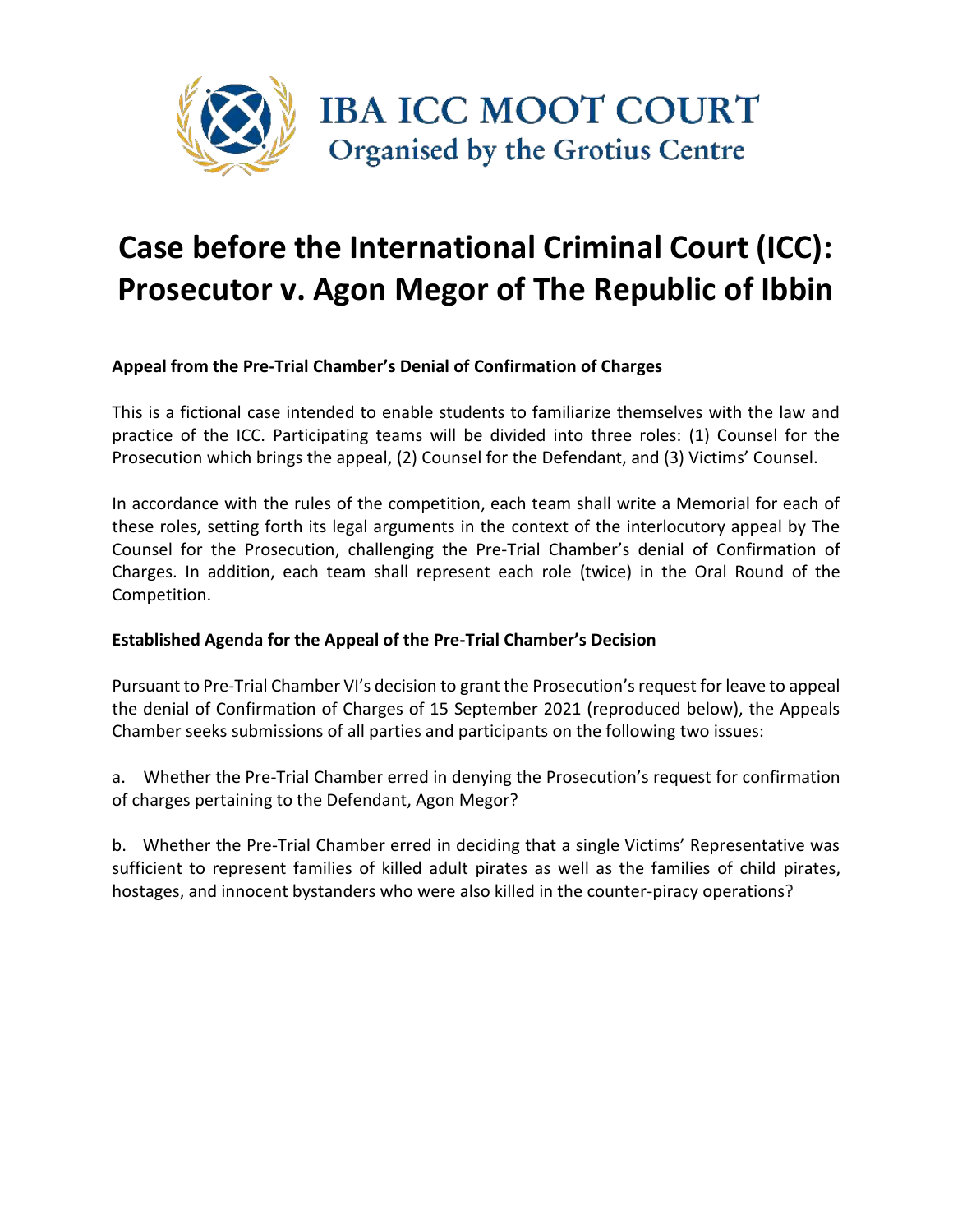

# **Case before the International Criminal Court (ICC): Prosecutor v. Agon Megor of The Republic of Ibbin**

**Appeal from the Pre-Trial Chamber's Denial of Confirmation of Charges**

This is a fictional case intended to enable students to familiarize themselves with the law and practice of the ICC. Participating teams will be divided into three roles: (1) Counsel for the Prosecution which brings the appeal, (2) Counsel for the Defendant, and (3) Victims' Counsel.

In accordance with the rules of the competition, each team shall write a Memorial for each of these roles, setting forth its legal arguments in the context of the interlocutory appeal by The Counsel for the Prosecution, challenging the Pre-Trial Chamber's denial of Confirmation of Charges. In addition, each team shall represent each role (twice) in the Oral Round of the Competition.

#### **Established Agenda for the Appeal of the Pre-Trial Chamber's Decision**

Pursuant to Pre-Trial Chamber VI's decision to grant the Prosecution's request for leave to appeal the denial of Confirmation of Charges of 15 September 2021 (reproduced below), the Appeals Chamber seeks submissions of all parties and participants on the following two issues:

a. Whether the Pre-Trial Chamber erred in denying the Prosecution's request for confirmation of charges pertaining to the Defendant, Agon Megor?

b. Whether the Pre-Trial Chamber erred in deciding that a single Victims' Representative was sufficient to represent families of killed adult pirates as well as the families of child pirates, hostages, and innocent bystanders who were also killed in the counter-piracy operations?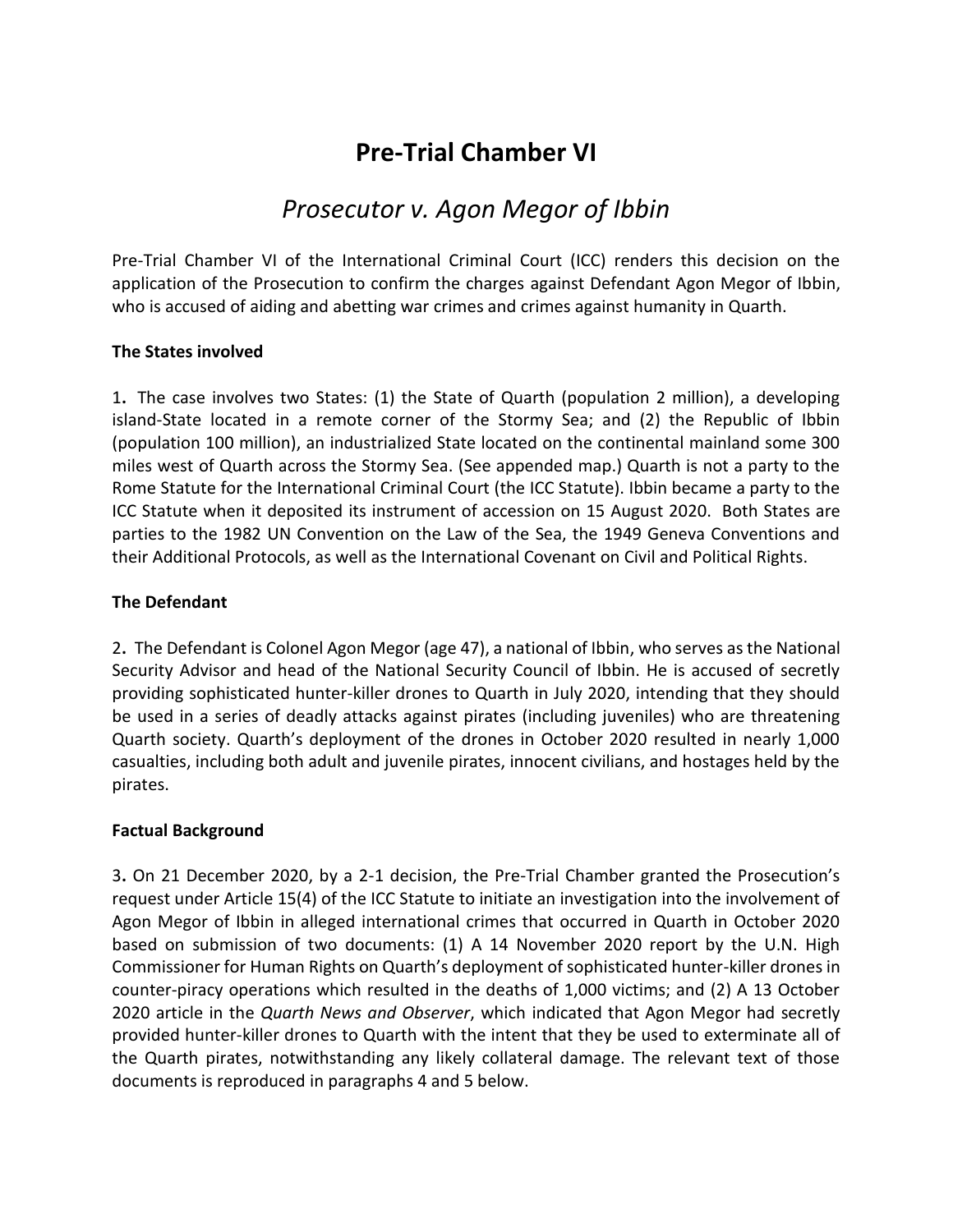## **Pre-Trial Chamber VI**

### *Prosecutor v. Agon Megor of Ibbin*

Pre-Trial Chamber VI of the International Criminal Court (ICC) renders this decision on the application of the Prosecution to confirm the charges against Defendant Agon Megor of Ibbin, who is accused of aiding and abetting war crimes and crimes against humanity in Quarth.

#### **The States involved**

1**.** The case involves two States: (1) the State of Quarth (population 2 million), a developing island-State located in a remote corner of the Stormy Sea; and (2) the Republic of Ibbin (population 100 million), an industrialized State located on the continental mainland some 300 miles west of Quarth across the Stormy Sea. (See appended map.) Quarth is not a party to the Rome Statute for the International Criminal Court (the ICC Statute). Ibbin became a party to the ICC Statute when it deposited its instrument of accession on 15 August 2020. Both States are parties to the 1982 UN Convention on the Law of the Sea, the 1949 Geneva Conventions and their Additional Protocols, as well as the International Covenant on Civil and Political Rights.

#### **The Defendant**

2**.** The Defendant is Colonel Agon Megor (age 47), a national of Ibbin, who serves as the National Security Advisor and head of the National Security Council of Ibbin. He is accused of secretly providing sophisticated hunter-killer drones to Quarth in July 2020, intending that they should be used in a series of deadly attacks against pirates (including juveniles) who are threatening Quarth society. Quarth's deployment of the drones in October 2020 resulted in nearly 1,000 casualties, including both adult and juvenile pirates, innocent civilians, and hostages held by the pirates.

#### **Factual Background**

3**.** On 21 December 2020, by a 2-1 decision, the Pre-Trial Chamber granted the Prosecution's request under Article 15(4) of the ICC Statute to initiate an investigation into the involvement of Agon Megor of Ibbin in alleged international crimes that occurred in Quarth in October 2020 based on submission of two documents: (1) A 14 November 2020 report by the U.N. High Commissioner for Human Rights on Quarth's deployment of sophisticated hunter-killer drones in counter-piracy operations which resulted in the deaths of 1,000 victims; and (2) A 13 October 2020 article in the *Quarth News and Observer*, which indicated that Agon Megor had secretly provided hunter-killer drones to Quarth with the intent that they be used to exterminate all of the Quarth pirates, notwithstanding any likely collateral damage. The relevant text of those documents is reproduced in paragraphs 4 and 5 below.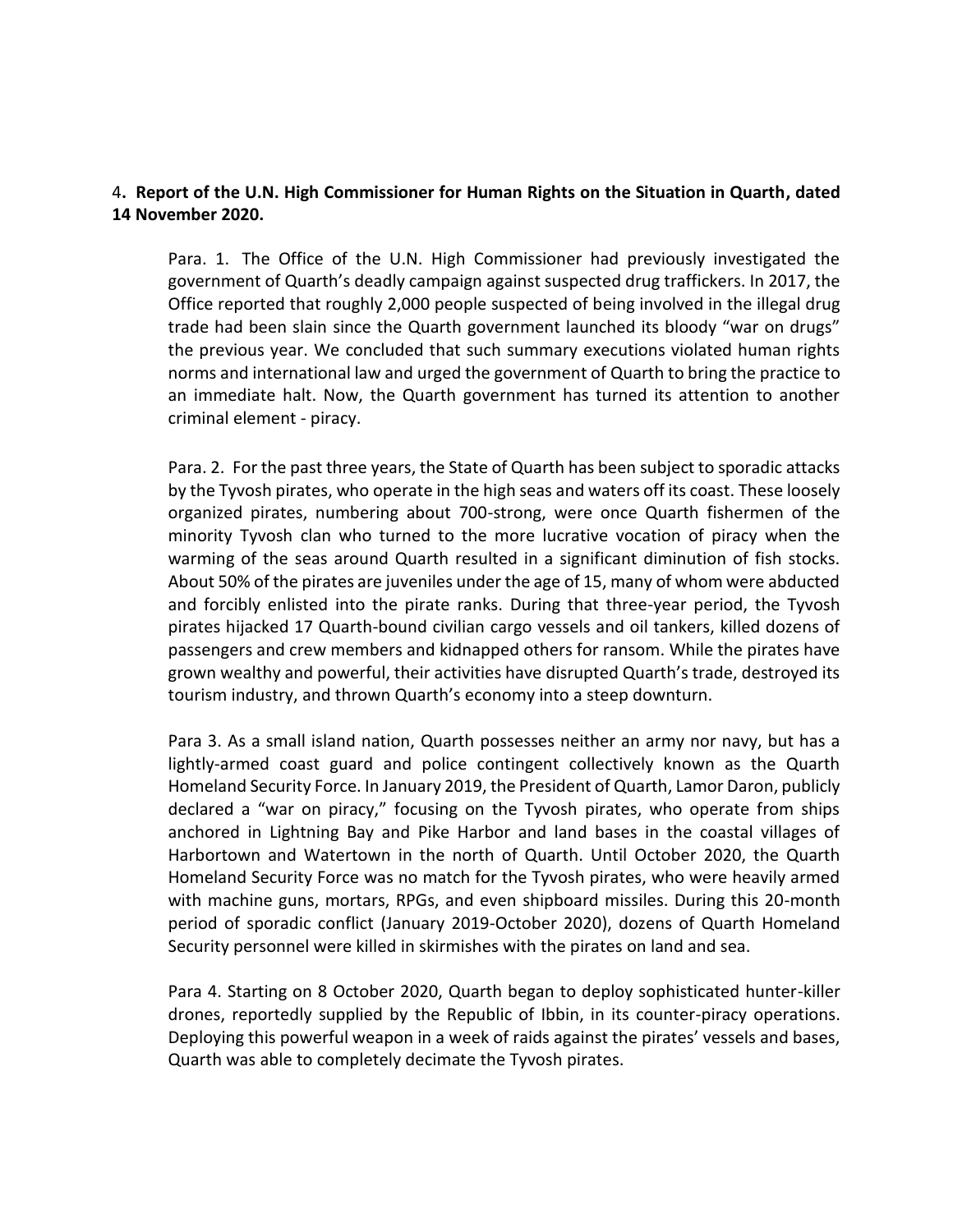#### 4**. Report of the U.N. High Commissioner for Human Rights on the Situation in Quarth, dated 14 November 2020.**

Para. 1. The Office of the U.N. High Commissioner had previously investigated the government of Quarth's deadly campaign against suspected drug traffickers. In 2017, the Office reported that roughly 2,000 people suspected of being involved in the illegal drug trade had been slain since the Quarth government launched its bloody "war on drugs" the previous year. We concluded that such summary executions violated human rights norms and international law and urged the government of Quarth to bring the practice to an immediate halt. Now, the Quarth government has turned its attention to another criminal element - piracy.

Para. 2. For the past three years, the State of Quarth has been subject to sporadic attacks by the Tyvosh pirates, who operate in the high seas and waters off its coast. These loosely organized pirates, numbering about 700-strong, were once Quarth fishermen of the minority Tyvosh clan who turned to the more lucrative vocation of piracy when the warming of the seas around Quarth resulted in a significant diminution of fish stocks. About 50% of the pirates are juveniles under the age of 15, many of whom were abducted and forcibly enlisted into the pirate ranks. During that three-year period, the Tyvosh pirates hijacked 17 Quarth-bound civilian cargo vessels and oil tankers, killed dozens of passengers and crew members and kidnapped others for ransom. While the pirates have grown wealthy and powerful, their activities have disrupted Quarth's trade, destroyed its tourism industry, and thrown Quarth's economy into a steep downturn.

Para 3. As a small island nation, Quarth possesses neither an army nor navy, but has a lightly-armed coast guard and police contingent collectively known as the Quarth Homeland Security Force. In January 2019, the President of Quarth, Lamor Daron, publicly declared a "war on piracy," focusing on the Tyvosh pirates, who operate from ships anchored in Lightning Bay and Pike Harbor and land bases in the coastal villages of Harbortown and Watertown in the north of Quarth. Until October 2020, the Quarth Homeland Security Force was no match for the Tyvosh pirates, who were heavily armed with machine guns, mortars, RPGs, and even shipboard missiles. During this 20-month period of sporadic conflict (January 2019-October 2020), dozens of Quarth Homeland Security personnel were killed in skirmishes with the pirates on land and sea.

Para 4. Starting on 8 October 2020, Quarth began to deploy sophisticated hunter-killer drones, reportedly supplied by the Republic of Ibbin, in its counter-piracy operations. Deploying this powerful weapon in a week of raids against the pirates' vessels and bases, Quarth was able to completely decimate the Tyvosh pirates.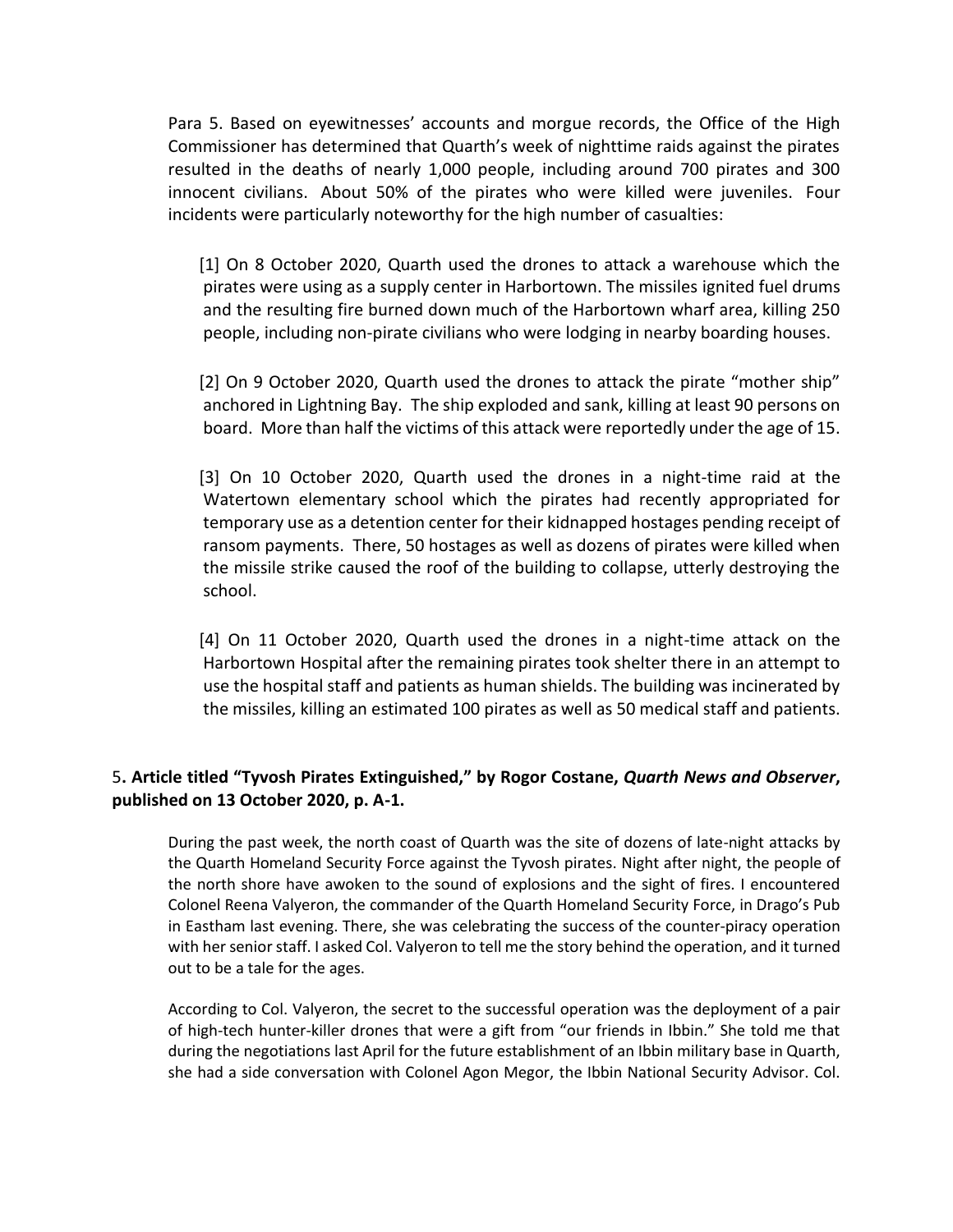Para 5. Based on eyewitnesses' accounts and morgue records, the Office of the High Commissioner has determined that Quarth's week of nighttime raids against the pirates resulted in the deaths of nearly 1,000 people, including around 700 pirates and 300 innocent civilians. About 50% of the pirates who were killed were juveniles. Four incidents were particularly noteworthy for the high number of casualties:

 [1] On 8 October 2020, Quarth used the drones to attack a warehouse which the pirates were using as a supply center in Harbortown. The missiles ignited fuel drums and the resulting fire burned down much of the Harbortown wharf area, killing 250 people, including non-pirate civilians who were lodging in nearby boarding houses.

 [2] On 9 October 2020, Quarth used the drones to attack the pirate "mother ship" anchored in Lightning Bay. The ship exploded and sank, killing at least 90 persons on board. More than half the victims of this attack were reportedly under the age of 15.

 [3] On 10 October 2020, Quarth used the drones in a night-time raid at the Watertown elementary school which the pirates had recently appropriated for temporary use as a detention center for their kidnapped hostages pending receipt of ransom payments. There, 50 hostages as well as dozens of pirates were killed when the missile strike caused the roof of the building to collapse, utterly destroying the school.

 [4] On 11 October 2020, Quarth used the drones in a night-time attack on the Harbortown Hospital after the remaining pirates took shelter there in an attempt to use the hospital staff and patients as human shields. The building was incinerated by the missiles, killing an estimated 100 pirates as well as 50 medical staff and patients.

#### 5**. Article titled "Tyvosh Pirates Extinguished," by Rogor Costane,** *Quarth News and Observer***, published on 13 October 2020, p. A-1.**

During the past week, the north coast of Quarth was the site of dozens of late-night attacks by the Quarth Homeland Security Force against the Tyvosh pirates. Night after night, the people of the north shore have awoken to the sound of explosions and the sight of fires. I encountered Colonel Reena Valyeron, the commander of the Quarth Homeland Security Force, in Drago's Pub in Eastham last evening. There, she was celebrating the success of the counter-piracy operation with her senior staff. I asked Col. Valyeron to tell me the story behind the operation, and it turned out to be a tale for the ages.

According to Col. Valyeron, the secret to the successful operation was the deployment of a pair of high-tech hunter-killer drones that were a gift from "our friends in Ibbin." She told me that during the negotiations last April for the future establishment of an Ibbin military base in Quarth, she had a side conversation with Colonel Agon Megor, the Ibbin National Security Advisor. Col.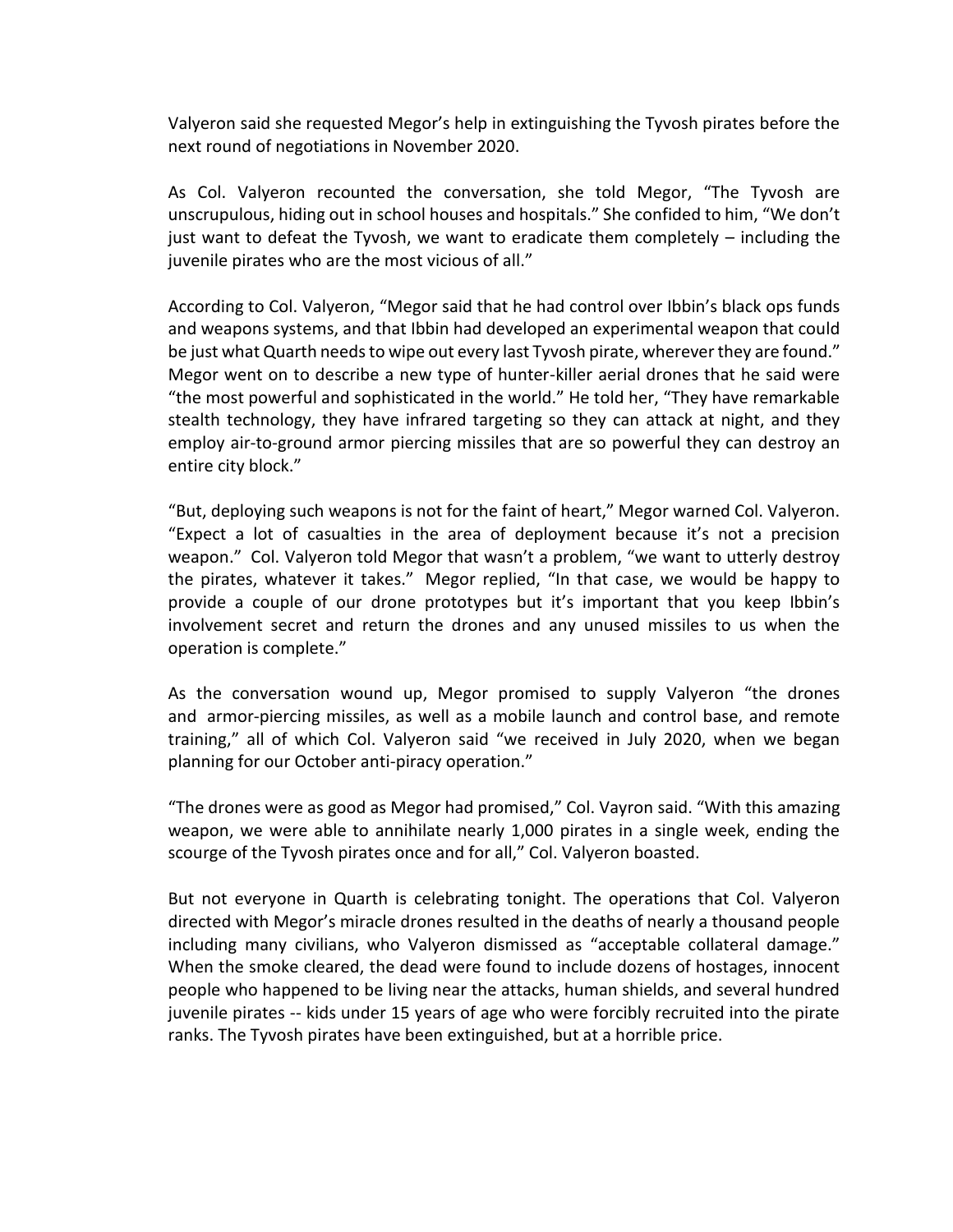Valyeron said she requested Megor's help in extinguishing the Tyvosh pirates before the next round of negotiations in November 2020.

As Col. Valyeron recounted the conversation, she told Megor, "The Tyvosh are unscrupulous, hiding out in school houses and hospitals." She confided to him, "We don't just want to defeat the Tyvosh, we want to eradicate them completely – including the juvenile pirates who are the most vicious of all."

According to Col. Valyeron, "Megor said that he had control over Ibbin's black ops funds and weapons systems, and that Ibbin had developed an experimental weapon that could be just what Quarth needs to wipe out every last Tyvosh pirate, wherever they are found." Megor went on to describe a new type of hunter-killer aerial drones that he said were "the most powerful and sophisticated in the world." He told her, "They have remarkable stealth technology, they have infrared targeting so they can attack at night, and they employ air-to-ground armor piercing missiles that are so powerful they can destroy an entire city block."

"But, deploying such weapons is not for the faint of heart," Megor warned Col. Valyeron. "Expect a lot of casualties in the area of deployment because it's not a precision weapon." Col. Valyeron told Megor that wasn't a problem, "we want to utterly destroy the pirates, whatever it takes." Megor replied, "In that case, we would be happy to provide a couple of our drone prototypes but it's important that you keep Ibbin's involvement secret and return the drones and any unused missiles to us when the operation is complete."

As the conversation wound up, Megor promised to supply Valyeron "the drones and armor-piercing missiles, as well as a mobile launch and control base, and remote training," all of which Col. Valyeron said "we received in July 2020, when we began planning for our October anti-piracy operation."

"The drones were as good as Megor had promised," Col. Vayron said. "With this amazing weapon, we were able to annihilate nearly 1,000 pirates in a single week, ending the scourge of the Tyvosh pirates once and for all," Col. Valyeron boasted.

But not everyone in Quarth is celebrating tonight. The operations that Col. Valyeron directed with Megor's miracle drones resulted in the deaths of nearly a thousand people including many civilians, who Valyeron dismissed as "acceptable collateral damage." When the smoke cleared, the dead were found to include dozens of hostages, innocent people who happened to be living near the attacks, human shields, and several hundred juvenile pirates -- kids under 15 years of age who were forcibly recruited into the pirate ranks. The Tyvosh pirates have been extinguished, but at a horrible price.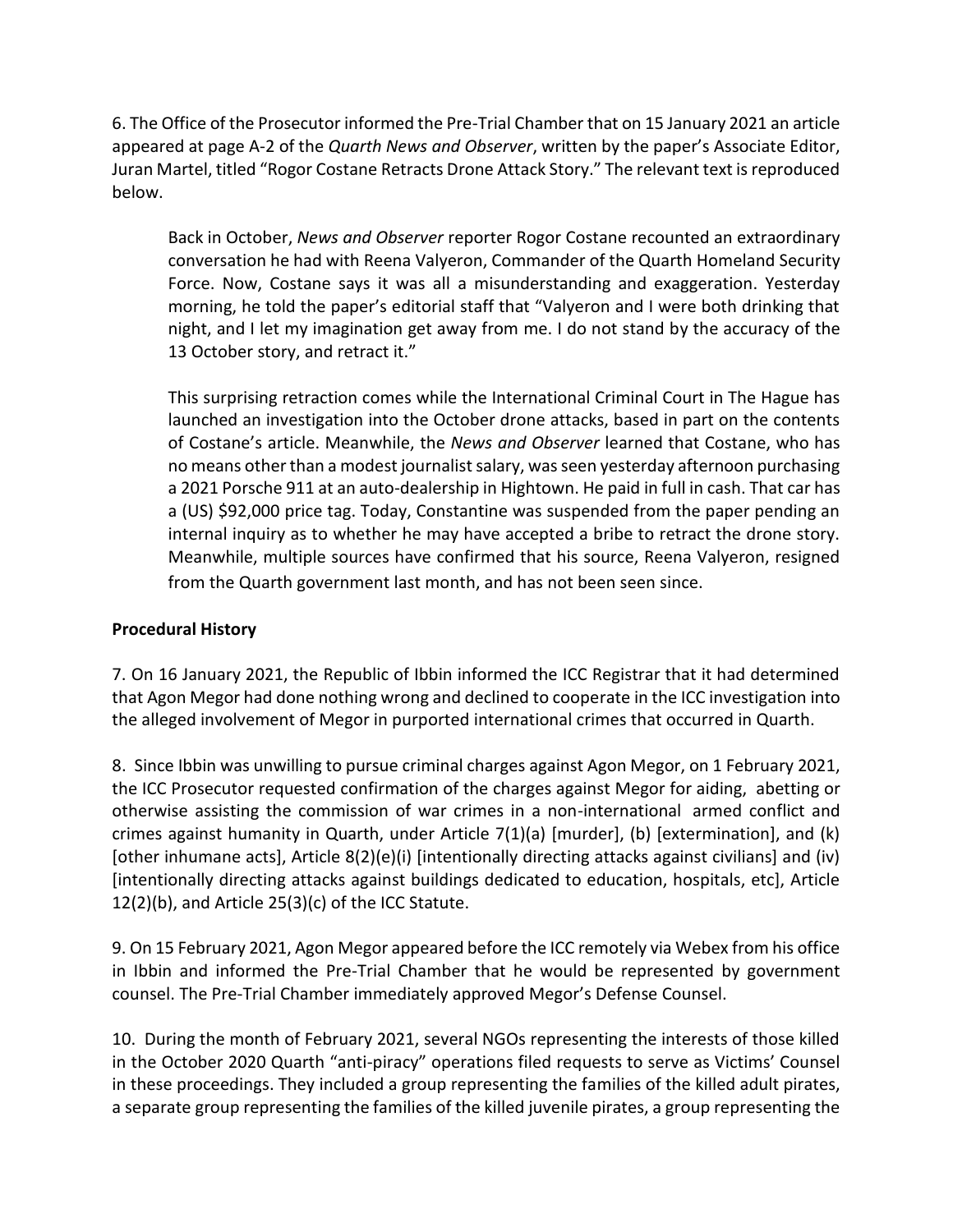6. The Office of the Prosecutor informed the Pre-Trial Chamber that on 15 January 2021 an article appeared at page A-2 of the *Quarth News and Observer*, written by the paper's Associate Editor, Juran Martel, titled "Rogor Costane Retracts Drone Attack Story." The relevant text is reproduced below.

Back in October, *News and Observer* reporter Rogor Costane recounted an extraordinary conversation he had with Reena Valyeron, Commander of the Quarth Homeland Security Force. Now, Costane says it was all a misunderstanding and exaggeration. Yesterday morning, he told the paper's editorial staff that "Valyeron and I were both drinking that night, and I let my imagination get away from me. I do not stand by the accuracy of the 13 October story, and retract it."

This surprising retraction comes while the International Criminal Court in The Hague has launched an investigation into the October drone attacks, based in part on the contents of Costane's article. Meanwhile, the *News and Observer* learned that Costane, who has no means other than a modest journalist salary, was seen yesterday afternoon purchasing a 2021 Porsche 911 at an auto-dealership in Hightown. He paid in full in cash. That car has a (US) \$92,000 price tag. Today, Constantine was suspended from the paper pending an internal inquiry as to whether he may have accepted a bribe to retract the drone story. Meanwhile, multiple sources have confirmed that his source, Reena Valyeron, resigned from the Quarth government last month, and has not been seen since.

#### **Procedural History**

7. On 16 January 2021, the Republic of Ibbin informed the ICC Registrar that it had determined that Agon Megor had done nothing wrong and declined to cooperate in the ICC investigation into the alleged involvement of Megor in purported international crimes that occurred in Quarth.

8. Since Ibbin was unwilling to pursue criminal charges against Agon Megor, on 1 February 2021, the ICC Prosecutor requested confirmation of the charges against Megor for aiding, abetting or otherwise assisting the commission of war crimes in a non-international armed conflict and crimes against humanity in Quarth, under Article 7(1)(a) [murder], (b) [extermination], and (k) [other inhumane acts], Article 8(2)(e)(i) [intentionally directing attacks against civilians] and (iv) [intentionally directing attacks against buildings dedicated to education, hospitals, etc], Article 12(2)(b), and Article 25(3)(c) of the ICC Statute.

9. On 15 February 2021, Agon Megor appeared before the ICC remotely via Webex from his office in Ibbin and informed the Pre-Trial Chamber that he would be represented by government counsel. The Pre-Trial Chamber immediately approved Megor's Defense Counsel.

10. During the month of February 2021, several NGOs representing the interests of those killed in the October 2020 Quarth "anti-piracy" operations filed requests to serve as Victims' Counsel in these proceedings. They included a group representing the families of the killed adult pirates, a separate group representing the families of the killed juvenile pirates, a group representing the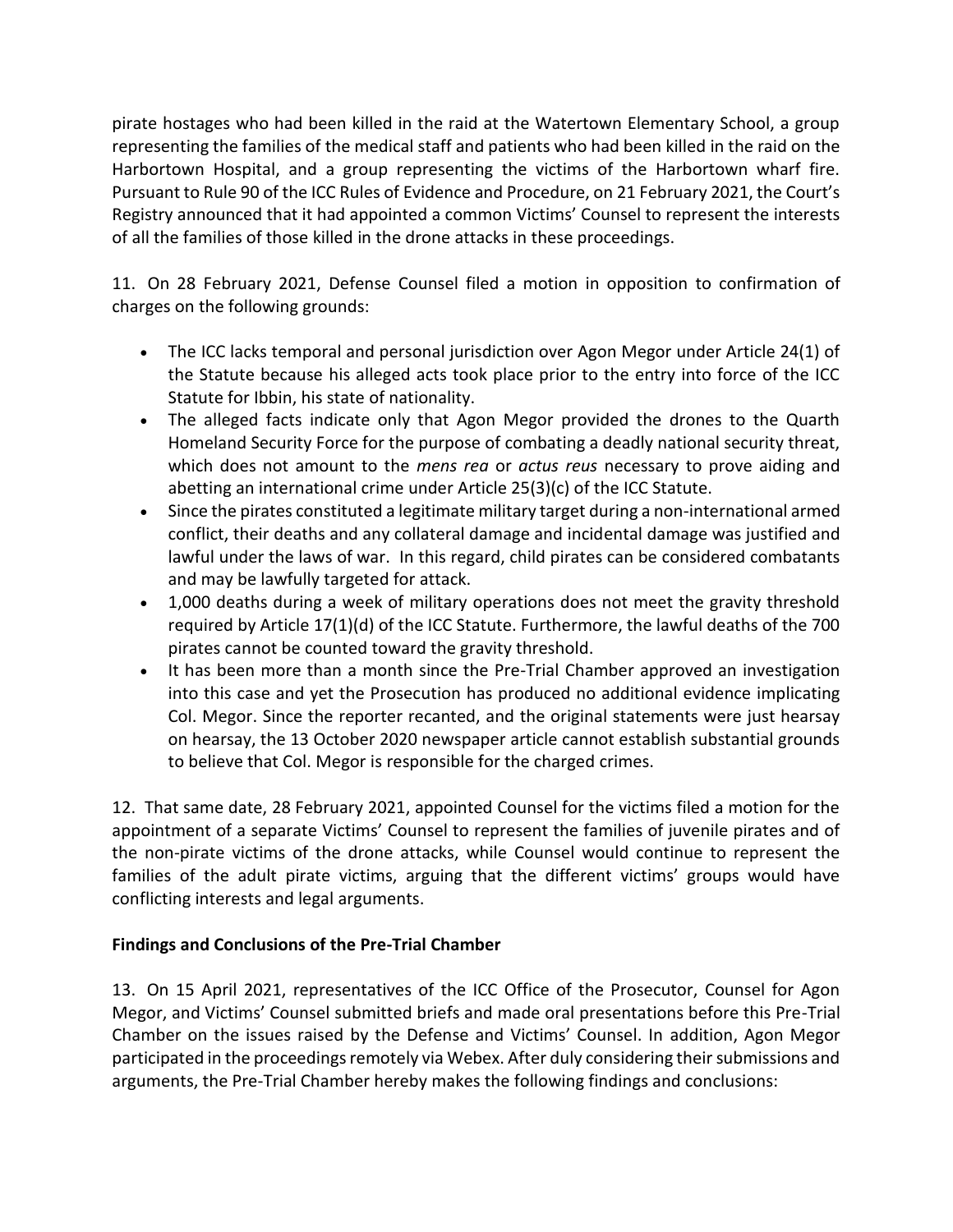pirate hostages who had been killed in the raid at the Watertown Elementary School, a group representing the families of the medical staff and patients who had been killed in the raid on the Harbortown Hospital, and a group representing the victims of the Harbortown wharf fire. Pursuant to Rule 90 of the ICC Rules of Evidence and Procedure, on 21 February 2021, the Court's Registry announced that it had appointed a common Victims' Counsel to represent the interests of all the families of those killed in the drone attacks in these proceedings.

11. On 28 February 2021, Defense Counsel filed a motion in opposition to confirmation of charges on the following grounds:

- The ICC lacks temporal and personal jurisdiction over Agon Megor under Article 24(1) of the Statute because his alleged acts took place prior to the entry into force of the ICC Statute for Ibbin, his state of nationality.
- The alleged facts indicate only that Agon Megor provided the drones to the Quarth Homeland Security Force for the purpose of combating a deadly national security threat, which does not amount to the *mens rea* or *actus reus* necessary to prove aiding and abetting an international crime under Article 25(3)(c) of the ICC Statute.
- Since the pirates constituted a legitimate military target during a non-international armed conflict, their deaths and any collateral damage and incidental damage was justified and lawful under the laws of war. In this regard, child pirates can be considered combatants and may be lawfully targeted for attack.
- 1,000 deaths during a week of military operations does not meet the gravity threshold required by Article 17(1)(d) of the ICC Statute. Furthermore, the lawful deaths of the 700 pirates cannot be counted toward the gravity threshold.
- It has been more than a month since the Pre-Trial Chamber approved an investigation into this case and yet the Prosecution has produced no additional evidence implicating Col. Megor. Since the reporter recanted, and the original statements were just hearsay on hearsay, the 13 October 2020 newspaper article cannot establish substantial grounds to believe that Col. Megor is responsible for the charged crimes.

12. That same date, 28 February 2021, appointed Counsel for the victims filed a motion for the appointment of a separate Victims' Counsel to represent the families of juvenile pirates and of the non-pirate victims of the drone attacks, while Counsel would continue to represent the families of the adult pirate victims, arguing that the different victims' groups would have conflicting interests and legal arguments.

#### **Findings and Conclusions of the Pre-Trial Chamber**

13. On 15 April 2021, representatives of the ICC Office of the Prosecutor, Counsel for Agon Megor, and Victims' Counsel submitted briefs and made oral presentations before this Pre-Trial Chamber on the issues raised by the Defense and Victims' Counsel. In addition, Agon Megor participated in the proceedings remotely via Webex. After duly considering their submissions and arguments, the Pre-Trial Chamber hereby makes the following findings and conclusions: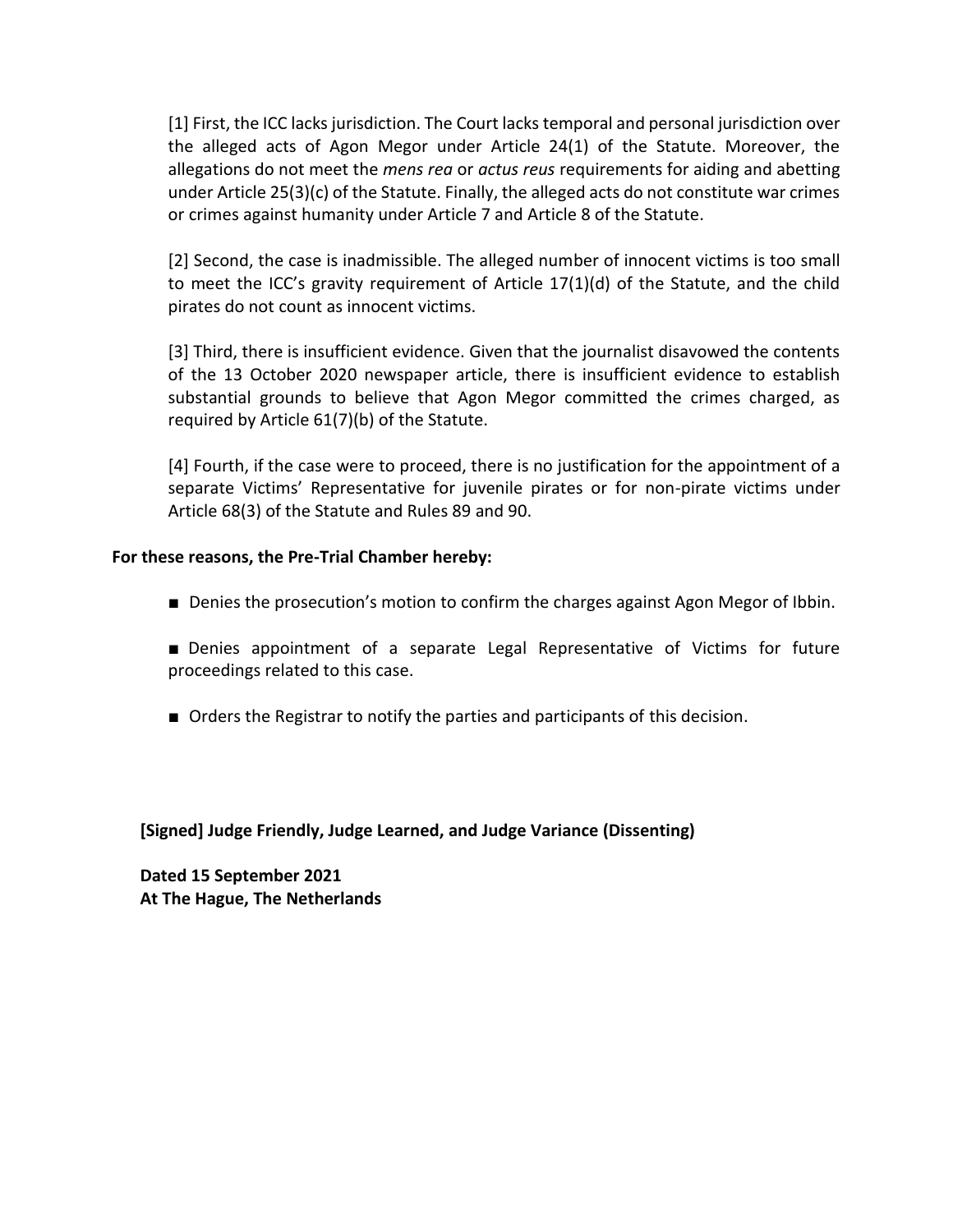[1] First, the ICC lacks jurisdiction. The Court lacks temporal and personal jurisdiction over the alleged acts of Agon Megor under Article 24(1) of the Statute. Moreover, the allegations do not meet the *mens rea* or *actus reus* requirements for aiding and abetting under Article 25(3)(c) of the Statute. Finally, the alleged acts do not constitute war crimes or crimes against humanity under Article 7 and Article 8 of the Statute.

[2] Second, the case is inadmissible. The alleged number of innocent victims is too small to meet the ICC's gravity requirement of Article 17(1)(d) of the Statute, and the child pirates do not count as innocent victims.

[3] Third, there is insufficient evidence. Given that the journalist disavowed the contents of the 13 October 2020 newspaper article, there is insufficient evidence to establish substantial grounds to believe that Agon Megor committed the crimes charged, as required by Article 61(7)(b) of the Statute.

[4] Fourth, if the case were to proceed, there is no justification for the appointment of a separate Victims' Representative for juvenile pirates or for non-pirate victims under Article 68(3) of the Statute and Rules 89 and 90.

#### **For these reasons, the Pre-Trial Chamber hereby:**

- Denies the prosecution's motion to confirm the charges against Agon Megor of Ibbin.
- Denies appointment of a separate Legal Representative of Victims for future proceedings related to this case.
- Orders the Registrar to notify the parties and participants of this decision.

**[Signed] Judge Friendly, Judge Learned, and Judge Variance (Dissenting)**

**Dated 15 September 2021 At The Hague, The Netherlands**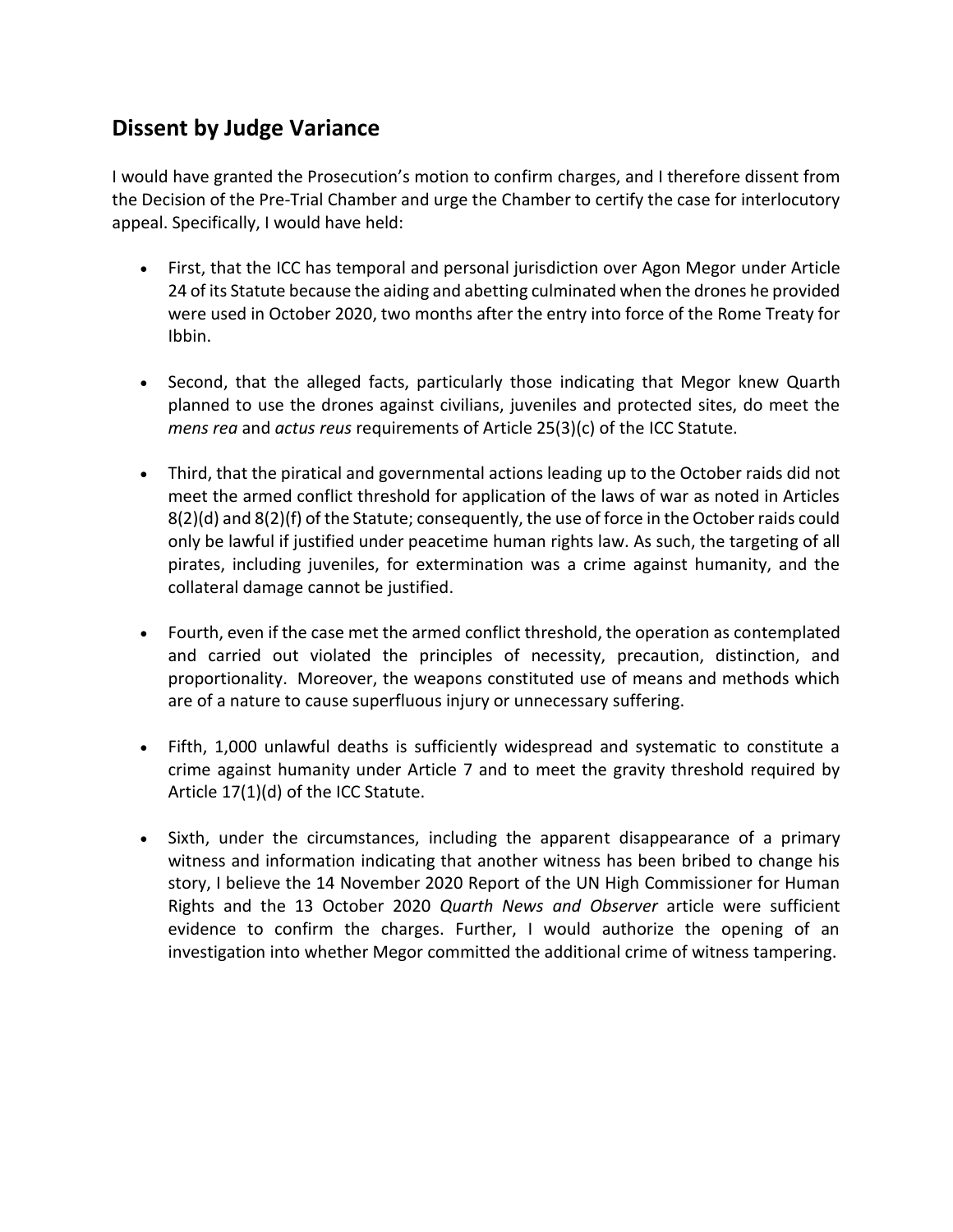### **Dissent by Judge Variance**

I would have granted the Prosecution's motion to confirm charges, and I therefore dissent from the Decision of the Pre-Trial Chamber and urge the Chamber to certify the case for interlocutory appeal. Specifically, I would have held:

- First, that the ICC has temporal and personal jurisdiction over Agon Megor under Article 24 of its Statute because the aiding and abetting culminated when the drones he provided were used in October 2020, two months after the entry into force of the Rome Treaty for Ibbin.
- Second, that the alleged facts, particularly those indicating that Megor knew Quarth planned to use the drones against civilians, juveniles and protected sites, do meet the *mens rea* and *actus reus* requirements of Article 25(3)(c) of the ICC Statute.
- Third, that the piratical and governmental actions leading up to the October raids did not meet the armed conflict threshold for application of the laws of war as noted in Articles 8(2)(d) and 8(2)(f) of the Statute; consequently, the use of force in the October raids could only be lawful if justified under peacetime human rights law. As such, the targeting of all pirates, including juveniles, for extermination was a crime against humanity, and the collateral damage cannot be justified.
- Fourth, even if the case met the armed conflict threshold, the operation as contemplated and carried out violated the principles of necessity, precaution, distinction, and proportionality. Moreover, the weapons constituted use of means and methods which are of a nature to cause superfluous injury or unnecessary suffering.
- Fifth, 1,000 unlawful deaths is sufficiently widespread and systematic to constitute a crime against humanity under Article 7 and to meet the gravity threshold required by Article 17(1)(d) of the ICC Statute.
- Sixth, under the circumstances, including the apparent disappearance of a primary witness and information indicating that another witness has been bribed to change his story, I believe the 14 November 2020 Report of the UN High Commissioner for Human Rights and the 13 October 2020 *Quarth News and Observer* article were sufficient evidence to confirm the charges. Further, I would authorize the opening of an investigation into whether Megor committed the additional crime of witness tampering.